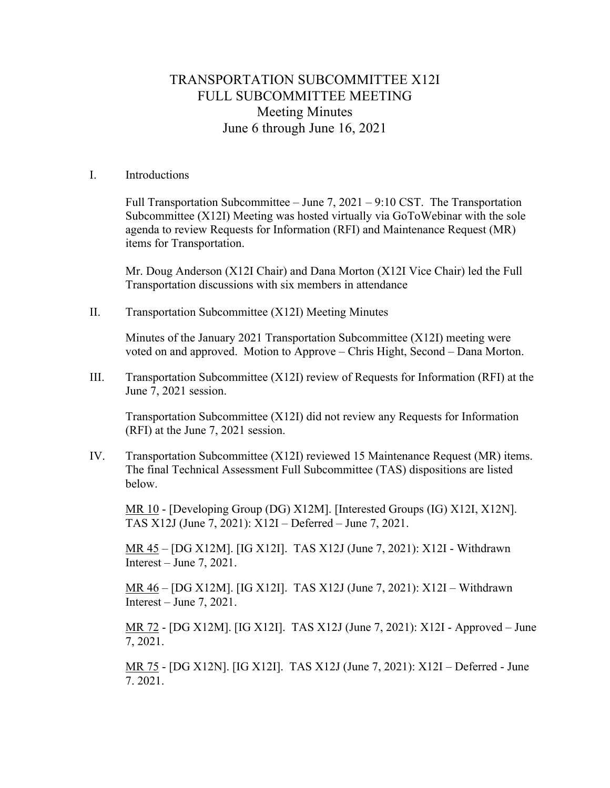## TRANSPORTATION SUBCOMMITTEE X12I FULL SUBCOMMITTEE MEETING Meeting Minutes June 6 through June 16, 2021

## I. Introductions

Full Transportation Subcommittee – June 7, 2021 – 9:10 CST. The Transportation Subcommittee (X12I) Meeting was hosted virtually via GoToWebinar with the sole agenda to review Requests for Information (RFI) and Maintenance Request (MR) items for Transportation.

Mr. Doug Anderson (X12I Chair) and Dana Morton (X12I Vice Chair) led the Full Transportation discussions with six members in attendance

II. Transportation Subcommittee (X12I) Meeting Minutes

Minutes of the January 2021 Transportation Subcommittee (X12I) meeting were voted on and approved. Motion to Approve – Chris Hight, Second – Dana Morton.

III. Transportation Subcommittee (X12I) review of Requests for Information (RFI) at the June 7, 2021 session.

Transportation Subcommittee (X12I) did not review any Requests for Information (RFI) at the June 7, 2021 session.

IV. Transportation Subcommittee (X12I) reviewed 15 Maintenance Request (MR) items. The final Technical Assessment Full Subcommittee (TAS) dispositions are listed below.

MR 10 - [Developing Group (DG) X12M]. [Interested Groups (IG) X12I, X12N]. TAS X12J (June 7, 2021): X12I – Deferred – June 7, 2021.

MR 45 – [DG X12M]. [IG X12I]. TAS X12J (June 7, 2021): X12I - Withdrawn Interest – June 7, 2021.

MR 46 – [DG X12M]. [IG X12I]. TAS X12J (June 7, 2021): X12I – Withdrawn Interest – June 7, 2021.

MR 72 - [DG X12M]. [IG X12I]. TAS X12J (June 7, 2021): X12I - Approved – June 7, 2021.

MR 75 - [DG X12N]. [IG X12I]. TAS X12J (June 7, 2021): X12I – Deferred - June 7. 2021.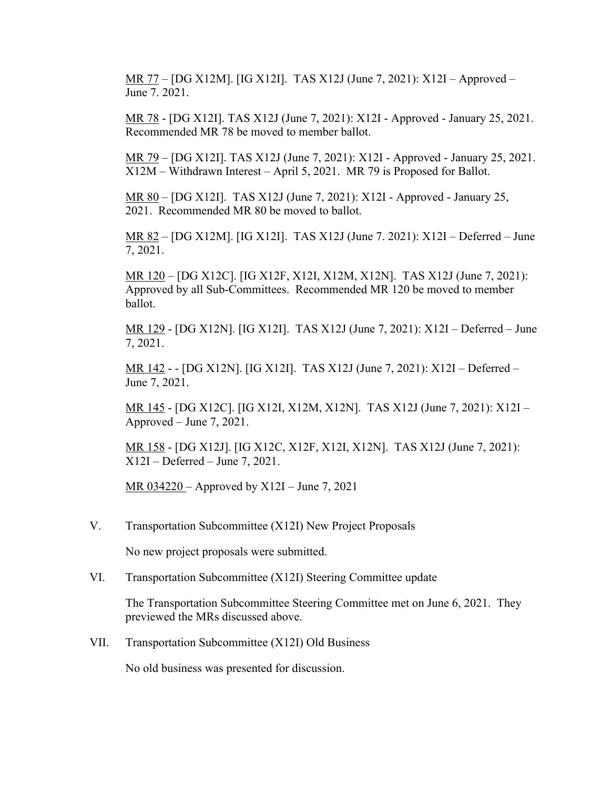MR 77 – [DG X12M]. [IG X12I]. TAS X12J (June 7, 2021): X12I – Approved – June 7. 2021.

MR 78 - [DG X12I]. TAS X12J (June 7, 2021): X12I - Approved - January 25, 2021. Recommended MR 78 be moved to member ballot.

MR 79 – [DG X12I]. TAS X12J (June 7, 2021): X12I - Approved - January 25, 2021. X12M – Withdrawn Interest – April 5, 2021. MR 79 is Proposed for Ballot.

MR 80 – [DG X12I]. TAS X12J (June 7, 2021): X12I - Approved - January 25, 2021. Recommended MR 80 be moved to ballot.

MR 82 – [DG X12M]. [IG X12I]. TAS X12J (June 7. 2021): X12I – Deferred – June 7, 2021.

MR 120 – [DG X12C]. [IG X12F, X12I, X12M, X12N]. TAS X12J (June 7, 2021): Approved by all Sub-Committees. Recommended MR 120 be moved to member ballot.

MR 129 - [DG X12N]. [IG X12I]. TAS X12J (June 7, 2021): X12I – Deferred – June 7, 2021.

MR 142 - - [DG X12N]. [IG X12I]. TAS X12J (June 7, 2021): X12I – Deferred – June 7, 2021.

MR 145 - [DG X12C]. [IG X12I, X12M, X12N]. TAS X12J (June 7, 2021): X12I – Approved – June 7, 2021.

MR 158 - [DG X12J]. [IG X12C, X12F, X12I, X12N]. TAS X12J (June 7, 2021): X12I – Deferred – June 7, 2021.

MR 034220 – Approved by X12I – June 7, 2021

V. Transportation Subcommittee (X12I) New Project Proposals

No new project proposals were submitted.

VI. Transportation Subcommittee (X12I) Steering Committee update

The Transportation Subcommittee Steering Committee met on June 6, 2021. They previewed the MRs discussed above.

VII. Transportation Subcommittee (X12I) Old Business

No old business was presented for discussion.